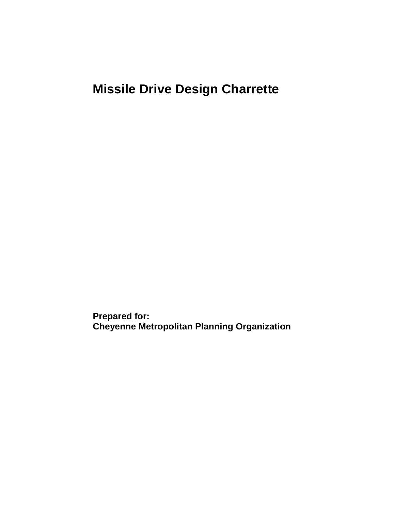# **Missile Drive Design Charrette**

**Prepared for: Cheyenne Metropolitan Planning Organization**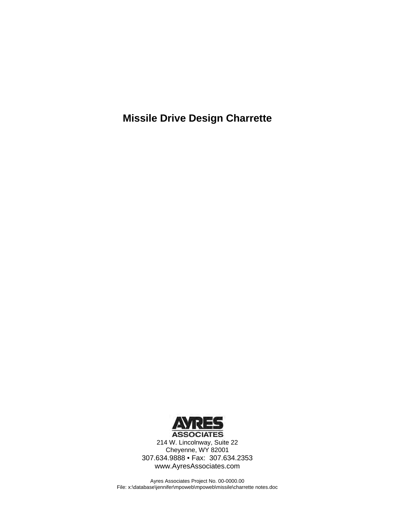**Missile Drive Design Charrette** 



214 W. Lincolnway, Suite 22 Cheyenne, WY 82001 307.634.9888 • Fax: 307.634.2353 www.AyresAssociates.com

Ayres Associates Project No. 00-0000.00 File: x:\database\jennifer\mpoweb\mpoweb\missile\charrette notes.doc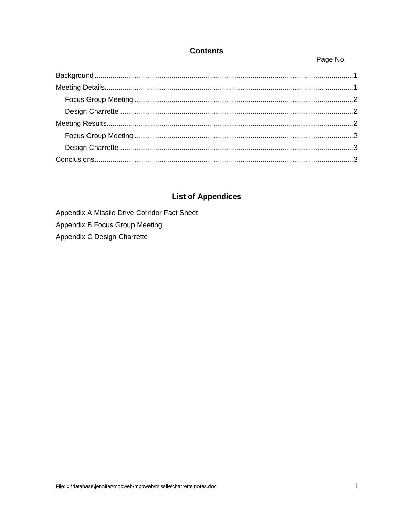### **Contents**

### Page No.

### **List of Appendices**

Appendix A Missile Drive Corridor Fact Sheet Appendix B Focus Group Meeting

Appendix C Design Charrette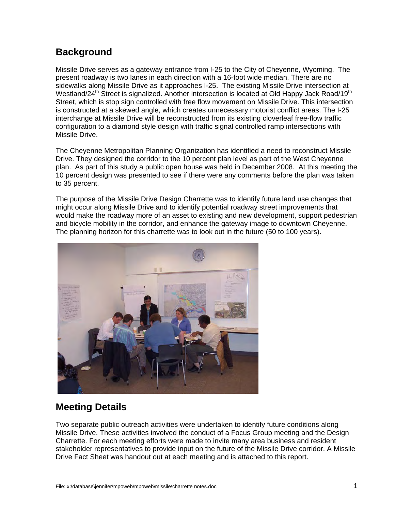# <span id="page-3-0"></span>**Background**

Missile Drive serves as a gateway entrance from I-25 to the City of Cheyenne, Wyoming. The present roadway is two lanes in each direction with a 16-foot wide median. There are no sidewalks along Missile Drive as it approaches I-25. The existing Missile Drive intersection at Westland/24<sup>th</sup> Street is signalized. Another intersection is located at Old Happy Jack Road/19<sup>th</sup> Street, which is stop sign controlled with free flow movement on Missile Drive. This intersection is constructed at a skewed angle, which creates unnecessary motorist conflict areas. The I-25 interchange at Missile Drive will be reconstructed from its existing cloverleaf free-flow traffic configuration to a diamond style design with traffic signal controlled ramp intersections with Missile Drive.

The Cheyenne Metropolitan Planning Organization has identified a need to reconstruct Missile Drive. They designed the corridor to the 10 percent plan level as part of the West Cheyenne plan. As part of this study a public open house was held in December 2008. At this meeting the 10 percent design was presented to see if there were any comments before the plan was taken to 35 percent.

The purpose of the Missile Drive Design Charrette was to identify future land use changes that might occur along Missile Drive and to identify potential roadway street improvements that would make the roadway more of an asset to existing and new development, support pedestrian and bicycle mobility in the corridor, and enhance the gateway image to downtown Cheyenne. The planning horizon for this charrette was to look out in the future (50 to 100 years).



# **Meeting Details**

Two separate public outreach activities were undertaken to identify future conditions along Missile Drive. These activities involved the conduct of a Focus Group meeting and the Design Charrette. For each meeting efforts were made to invite many area business and resident stakeholder representatives to provide input on the future of the Missile Drive corridor. A Missile Drive Fact Sheet was handout out at each meeting and is attached to this report.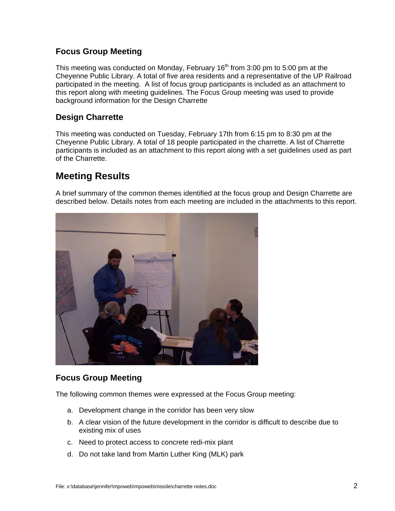### <span id="page-4-0"></span>**Focus Group Meeting**

This meeting was conducted on Monday, February  $16<sup>th</sup>$  from 3:00 pm to 5:00 pm at the Cheyenne Public Library. A total of five area residents and a representative of the UP Railroad participated in the meeting. A list of focus group participants is included as an attachment to this report along with meeting guidelines. The Focus Group meeting was used to provide background information for the Design Charrette

### **Design Charrette**

This meeting was conducted on Tuesday, February 17th from 6:15 pm to 8:30 pm at the Cheyenne Public Library. A total of 18 people participated in the charrette. A list of Charrette participants is included as an attachment to this report along with a set guidelines used as part of the Charrette.

# **Meeting Results**

A brief summary of the common themes identified at the focus group and Design Charrette are described below. Details notes from each meeting are included in the attachments to this report.



### **Focus Group Meeting**

The following common themes were expressed at the Focus Group meeting:

- a. Development change in the corridor has been very slow
- b. A clear vision of the future development in the corridor is difficult to describe due to existing mix of uses
- c. Need to protect access to concrete redi-mix plant
- d. Do not take land from Martin Luther King (MLK) park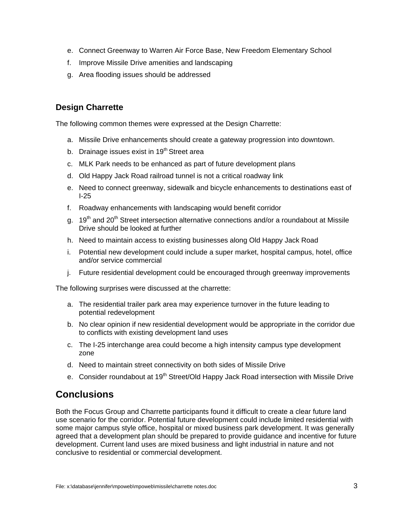- <span id="page-5-0"></span>e. Connect Greenway to Warren Air Force Base, New Freedom Elementary School
- f. Improve Missile Drive amenities and landscaping
- g. Area flooding issues should be addressed

### **Design Charrette**

The following common themes were expressed at the Design Charrette:

- a. Missile Drive enhancements should create a gateway progression into downtown.
- b. Drainage issues exist in  $19<sup>th</sup>$  Street area
- c. MLK Park needs to be enhanced as part of future development plans
- d. Old Happy Jack Road railroad tunnel is not a critical roadway link
- e. Need to connect greenway, sidewalk and bicycle enhancements to destinations east of I-25
- f. Roadway enhancements with landscaping would benefit corridor
- g. 19<sup>th</sup> and 20<sup>th</sup> Street intersection alternative connections and/or a roundabout at Missile Drive should be looked at further
- h. Need to maintain access to existing businesses along Old Happy Jack Road
- i. Potential new development could include a super market, hospital campus, hotel, office and/or service commercial
- j. Future residential development could be encouraged through greenway improvements

The following surprises were discussed at the charrette:

- a. The residential trailer park area may experience turnover in the future leading to potential redevelopment
- b. No clear opinion if new residential development would be appropriate in the corridor due to conflicts with existing development land uses
- c. The I-25 interchange area could become a high intensity campus type development zone
- d. Need to maintain street connectivity on both sides of Missile Drive
- e. Consider roundabout at 19<sup>th</sup> Street/Old Happy Jack Road intersection with Missile Drive

## **Conclusions**

Both the Focus Group and Charrette participants found it difficult to create a clear future land use scenario for the corridor. Potential future development could include limited residential with some major campus style office, hospital or mixed business park development. It was generally agreed that a development plan should be prepared to provide guidance and incentive for future development. Current land uses are mixed business and light industrial in nature and not conclusive to residential or commercial development.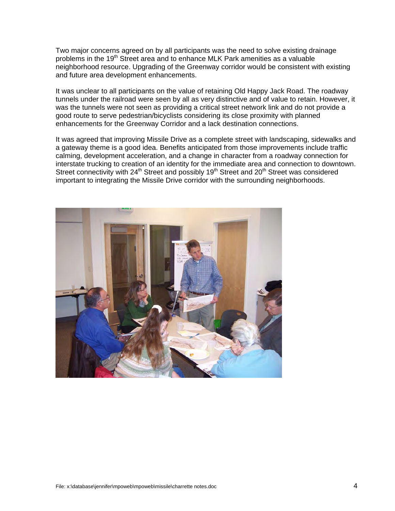Two major concerns agreed on by all participants was the need to solve existing drainage problems in the 19<sup>th</sup> Street area and to enhance MLK Park amenities as a valuable neighborhood resource. Upgrading of the Greenway corridor would be consistent with existing and future area development enhancements.

It was unclear to all participants on the value of retaining Old Happy Jack Road. The roadway tunnels under the railroad were seen by all as very distinctive and of value to retain. However, it was the tunnels were not seen as providing a critical street network link and do not provide a good route to serve pedestrian/bicyclists considering its close proximity with planned enhancements for the Greenway Corridor and a lack destination connections.

It was agreed that improving Missile Drive as a complete street with landscaping, sidewalks and a gateway theme is a good idea. Benefits anticipated from those improvements include traffic calming, development acceleration, and a change in character from a roadway connection for interstate trucking to creation of an identity for the immediate area and connection to downtown. Street connectivity with 24<sup>th</sup> Street and possibly 19<sup>th</sup> Street and 20<sup>th</sup> Street was considered important to integrating the Missile Drive corridor with the surrounding neighborhoods.

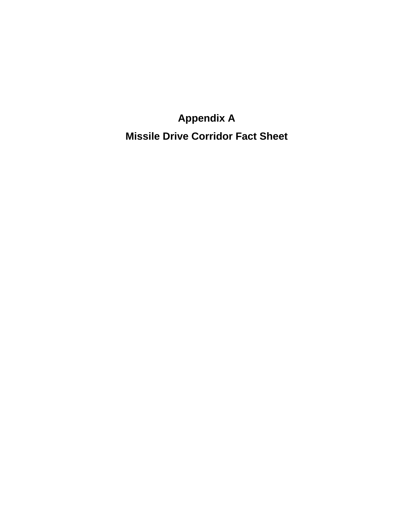**Appendix A Missile Drive Corridor Fact Sheet**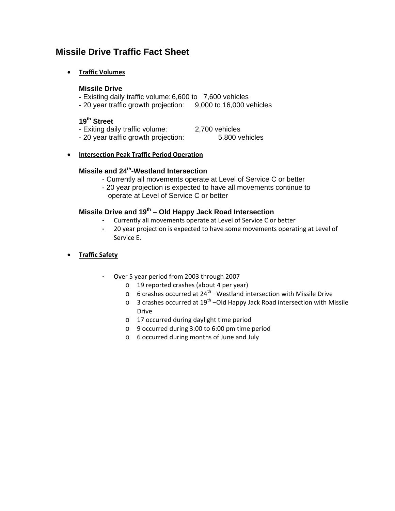### **Missile Drive Traffic Fact Sheet**

### • **Traffic Volumes**

### **Missile Drive**

- Existing daily traffic volume: 6,600 to 7,600 vehicles
- 20 year traffic growth projection: 9,000 to 16,000 vehicles

### **19th Street**

- Exiting daily traffic volume: 2,700 vehicles
	-
- 20 year traffic growth projection: 5,800 vehicles

### • **Intersection Peak Traffic Period Operation**

### **Missile and 24th-Westland Intersection**

- Currently all movements operate at Level of Service C or better
- 20 year projection is expected to have all movements continue to operate at Level of Service C or better

### **Missile Drive and 19th – Old Happy Jack Road Intersection**

- Currently all movements operate at Level of Service C or better
- 20 year projection is expected to have some movements operating at Level of Service E.

### • **Traffic Safety**

- Over 5 year period from 2003 through 2007
	- o 19 reported crashes (about 4 per year)
	- $\circ$  6 crashes occurred at 24<sup>th</sup> –Westland intersection with Missile Drive
	- $\circ$  3 crashes occurred at 19<sup>th</sup> –Old Happy Jack Road intersection with Missile Drive
	- o 17 occurred during daylight time period
	- o 9 occurred during 3:00 to 6:00 pm time period
	- o 6 occurred during months of June and July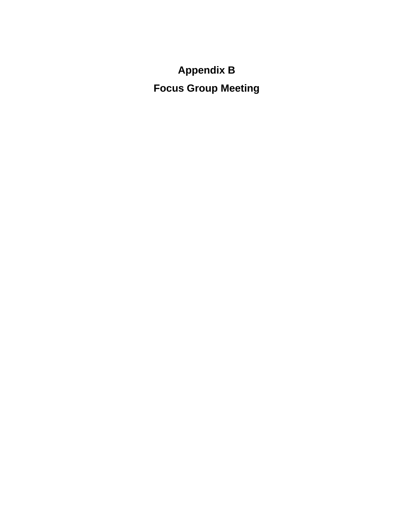**Appendix B Focus Group Meeting**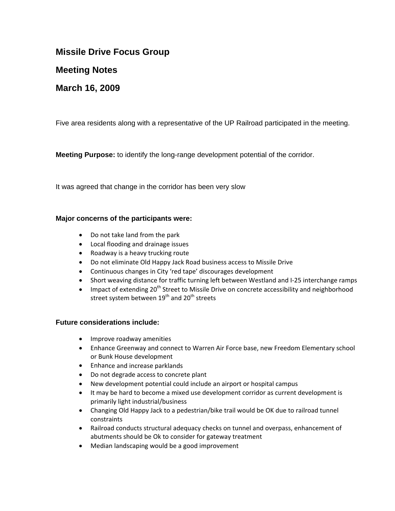### **Missile Drive Focus Group**

### **Meeting Notes**

### **March 16, 2009**

Five area residents along with a representative of the UP Railroad participated in the meeting.

**Meeting Purpose:** to identify the long-range development potential of the corridor.

It was agreed that change in the corridor has been very slow

#### **Major concerns of the participants were:**

- Do not take land from the park
- Local flooding and drainage issues
- Roadway is a heavy trucking route
- Do not eliminate Old Happy Jack Road business access to Missile Drive
- Continuous changes in City 'red tape' discourages development
- Short weaving distance for traffic turning left between Westland and I‐25 interchange ramps
- Impact of extending  $20<sup>th</sup>$  Street to Missile Drive on concrete accessibility and neighborhood street system between  $19<sup>th</sup>$  and  $20<sup>th</sup>$  streets

#### **Future considerations include:**

- Improve roadway amenities
- Enhance Greenway and connect to Warren Air Force base, new Freedom Elementary school or Bunk House development
- Enhance and increase parklands
- Do not degrade access to concrete plant
- New development potential could include an airport or hospital campus
- It may be hard to become a mixed use development corridor as current development is primarily light industrial/business
- Changing Old Happy Jack to a pedestrian/bike trail would be OK due to railroad tunnel constraints
- Railroad conducts structural adequacy checks on tunnel and overpass, enhancement of abutments should be Ok to consider for gateway treatment
- Median landscaping would be a good improvement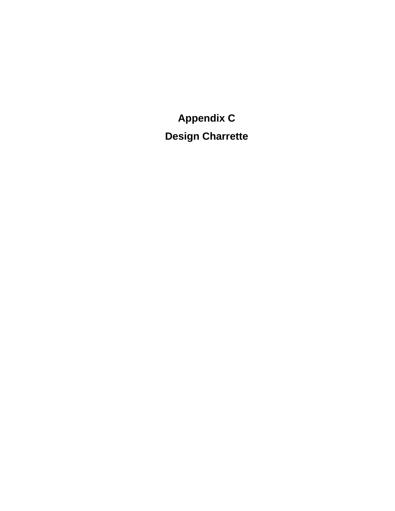**Appendix C Design Charrette**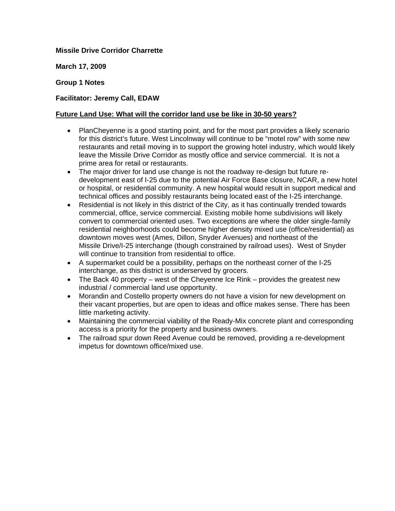### **Missile Drive Corridor Charrette**

**March 17, 2009** 

### **Group 1 Notes**

### **Facilitator: Jeremy Call, EDAW**

### **Future Land Use: What will the corridor land use be like in 30-50 years?**

- PlanCheyenne is a good starting point, and for the most part provides a likely scenario for this district's future. West Lincolnway will continue to be "motel row" with some new restaurants and retail moving in to support the growing hotel industry, which would likely leave the Missile Drive Corridor as mostly office and service commercial. It is not a prime area for retail or restaurants.
- The major driver for land use change is not the roadway re-design but future redevelopment east of I-25 due to the potential Air Force Base closure, NCAR, a new hotel or hospital, or residential community. A new hospital would result in support medical and technical offices and possibly restaurants being located east of the I-25 interchange.
- Residential is not likely in this district of the City, as it has continually trended towards commercial, office, service commercial. Existing mobile home subdivisions will likely convert to commercial oriented uses. Two exceptions are where the older single-family residential neighborhoods could become higher density mixed use (office/residential) as downtown moves west (Ames, Dillon, Snyder Avenues) and northeast of the Missile Drive/I-25 interchange (though constrained by railroad uses). West of Snyder will continue to transition from residential to office.
- A supermarket could be a possibility, perhaps on the northeast corner of the I-25 interchange, as this district is underserved by grocers.
- The Back 40 property west of the Cheyenne Ice Rink provides the greatest new industrial / commercial land use opportunity.
- Morandin and Costello property owners do not have a vision for new development on their vacant properties, but are open to ideas and office makes sense. There has been little marketing activity.
- Maintaining the commercial viability of the Ready-Mix concrete plant and corresponding access is a priority for the property and business owners.
- The railroad spur down Reed Avenue could be removed, providing a re-development impetus for downtown office/mixed use.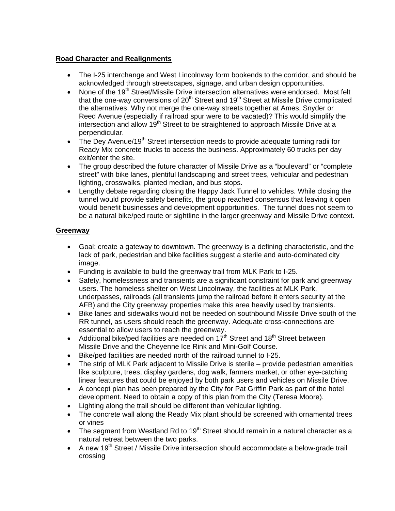### **Road Character and Realignments**

- The I-25 interchange and West Lincolnway form bookends to the corridor, and should be acknowledged through streetscapes, signage, and urban design opportunities.
- None of the 19<sup>th</sup> Street/Missile Drive intersection alternatives were endorsed. Most felt that the one-way conversions of  $20<sup>th</sup>$  Street and 19<sup>th</sup> Street at Missile Drive complicated the alternatives. Why not merge the one-way streets together at Ames, Snyder or Reed Avenue (especially if railroad spur were to be vacated)? This would simplify the intersection and allow  $19<sup>th</sup>$  Street to be straightened to approach Missile Drive at a perpendicular.
- The Dey Avenue/19<sup>th</sup> Street intersection needs to provide adequate turning radii for Ready Mix concrete trucks to access the business. Approximately 60 trucks per day exit/enter the site.
- The group described the future character of Missile Drive as a "boulevard" or "complete street" with bike lanes, plentiful landscaping and street trees, vehicular and pedestrian lighting, crosswalks, planted median, and bus stops.
- Lengthy debate regarding closing the Happy Jack Tunnel to vehicles. While closing the tunnel would provide safety benefits, the group reached consensus that leaving it open would benefit businesses and development opportunities. The tunnel does not seem to be a natural bike/ped route or sightline in the larger greenway and Missile Drive context.

### **Greenway**

- Goal: create a gateway to downtown. The greenway is a defining characteristic, and the lack of park, pedestrian and bike facilities suggest a sterile and auto-dominated city image.
- Funding is available to build the greenway trail from MLK Park to I-25.
- Safety, homelessness and transients are a significant constraint for park and greenway users. The homeless shelter on West Lincolnway, the facilities at MLK Park, underpasses, railroads (all transients jump the railroad before it enters security at the AFB) and the City greenway properties make this area heavily used by transients.
- Bike lanes and sidewalks would not be needed on southbound Missile Drive south of the RR tunnel, as users should reach the greenway. Adequate cross-connections are essential to allow users to reach the greenway.
- Additional bike/ped facilities are needed on  $17<sup>th</sup>$  Street and  $18<sup>th</sup>$  Street between Missile Drive and the Cheyenne Ice Rink and Mini-Golf Course.
- Bike/ped facilities are needed north of the railroad tunnel to I-25.
- The strip of MLK Park adjacent to Missile Drive is sterile provide pedestrian amenities like sculpture, trees, display gardens, dog walk, farmers market, or other eye-catching linear features that could be enjoyed by both park users and vehicles on Missile Drive.
- A concept plan has been prepared by the City for Pat Griffin Park as part of the hotel development. Need to obtain a copy of this plan from the City (Teresa Moore).
- Lighting along the trail should be different than vehicular lighting.
- The concrete wall along the Ready Mix plant should be screened with ornamental trees or vines
- The segment from Westland Rd to  $19<sup>th</sup>$  Street should remain in a natural character as a natural retreat between the two parks.
- A new 19th Street / Missile Drive intersection should accommodate a below-grade trail crossing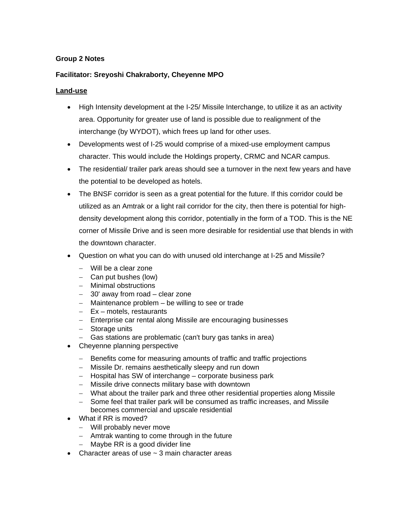### **Group 2 Notes**

### **Facilitator: Sreyoshi Chakraborty, Cheyenne MPO**

### **Land-use**

- High Intensity development at the I-25/ Missile Interchange, to utilize it as an activity area. Opportunity for greater use of land is possible due to realignment of the interchange (by WYDOT), which frees up land for other uses.
- Developments west of I-25 would comprise of a mixed-use employment campus character. This would include the Holdings property, CRMC and NCAR campus.
- The residential/ trailer park areas should see a turnover in the next few years and have the potential to be developed as hotels.
- The BNSF corridor is seen as a great potential for the future. If this corridor could be utilized as an Amtrak or a light rail corridor for the city, then there is potential for highdensity development along this corridor, potentially in the form of a TOD. This is the NE corner of Missile Drive and is seen more desirable for residential use that blends in with the downtown character.
- Question on what you can do with unused old interchange at I-25 and Missile?
	- − Will be a clear zone
	- − Can put bushes (low)
	- − Minimal obstructions
	- − 30' away from road clear zone
	- − Maintenance problem be willing to see or trade
	- − Ex motels, restaurants
	- − Enterprise car rental along Missile are encouraging businesses
	- − Storage units
	- − Gas stations are problematic (can't bury gas tanks in area)
- Cheyenne planning perspective
	- − Benefits come for measuring amounts of traffic and traffic projections
	- − Missile Dr. remains aesthetically sleepy and run down
	- − Hospital has SW of interchange corporate business park
	- − Missile drive connects military base with downtown
	- − What about the trailer park and three other residential properties along Missile
	- − Some feel that trailer park will be consumed as traffic increases, and Missile becomes commercial and upscale residential
- What if RR is moved?
	- − Will probably never move
	- − Amtrak wanting to come through in the future
	- − Maybe RR is a good divider line
- Character areas of use  $\sim$  3 main character areas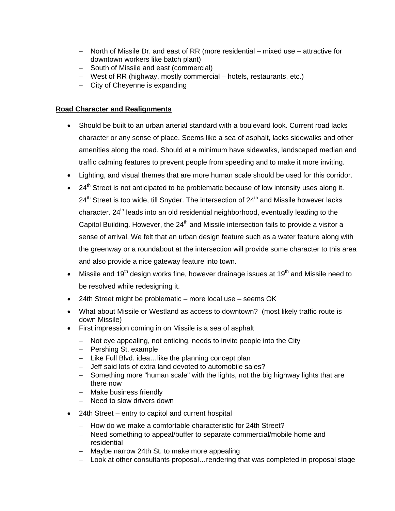- − North of Missile Dr. and east of RR (more residential mixed use attractive for downtown workers like batch plant)
- − South of Missile and east (commercial)
- − West of RR (highway, mostly commercial hotels, restaurants, etc.)
- − City of Cheyenne is expanding

### **Road Character and Realignments**

- Should be built to an urban arterial standard with a boulevard look. Current road lacks character or any sense of place. Seems like a sea of asphalt, lacks sidewalks and other amenities along the road. Should at a minimum have sidewalks, landscaped median and traffic calming features to prevent people from speeding and to make it more inviting.
- Lighting, and visual themes that are more human scale should be used for this corridor.
- $24<sup>th</sup>$  Street is not anticipated to be problematic because of low intensity uses along it.  $24<sup>th</sup>$  Street is too wide, till Snyder. The intersection of  $24<sup>th</sup>$  and Missile however lacks character.  $24<sup>th</sup>$  leads into an old residential neighborhood, eventually leading to the Capitol Building. However, the  $24<sup>th</sup>$  and Missile intersection fails to provide a visitor a sense of arrival. We felt that an urban design feature such as a water feature along with the greenway or a roundabout at the intersection will provide some character to this area and also provide a nice gateway feature into town.
- Missile and 19<sup>th</sup> design works fine, however drainage issues at 19<sup>th</sup> and Missile need to be resolved while redesigning it.
- 24th Street might be problematic more local use seems OK
- What about Missile or Westland as access to downtown? (most likely traffic route is down Missile)
- First impression coming in on Missile is a sea of asphalt
	- − Not eye appealing, not enticing, needs to invite people into the City
	- − Pershing St. example
	- − Like Full Blvd. idea…like the planning concept plan
	- − Jeff said lots of extra land devoted to automobile sales?
	- − Something more "human scale" with the lights, not the big highway lights that are there now
	- − Make business friendly
	- − Need to slow drivers down
- 24th Street entry to capitol and current hospital
	- − How do we make a comfortable characteristic for 24th Street?
	- − Need something to appeal/buffer to separate commercial/mobile home and residential
	- − Maybe narrow 24th St. to make more appealing
	- − Look at other consultants proposal…rendering that was completed in proposal stage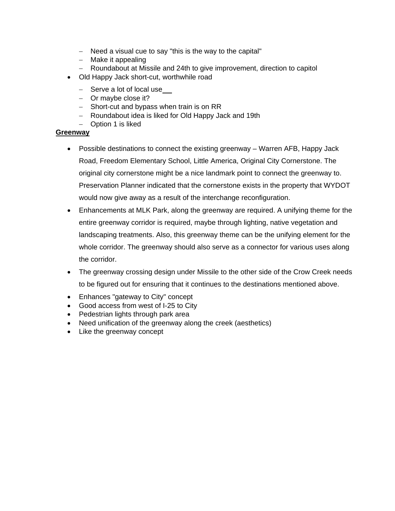- − Need a visual cue to say "this is the way to the capital"
- − Make it appealing
- − Roundabout at Missile and 24th to give improvement, direction to capitol
- Old Happy Jack short-cut, worthwhile road
	- − Serve a lot of local use
	- − Or maybe close it?
	- − Short-cut and bypass when train is on RR
	- − Roundabout idea is liked for Old Happy Jack and 19th
	- − Option 1 is liked

#### **Greenway**

- Possible destinations to connect the existing greenway Warren AFB, Happy Jack Road, Freedom Elementary School, Little America, Original City Cornerstone. The original city cornerstone might be a nice landmark point to connect the greenway to. Preservation Planner indicated that the cornerstone exists in the property that WYDOT would now give away as a result of the interchange reconfiguration.
- Enhancements at MLK Park, along the greenway are required. A unifying theme for the entire greenway corridor is required, maybe through lighting, native vegetation and landscaping treatments. Also, this greenway theme can be the unifying element for the whole corridor. The greenway should also serve as a connector for various uses along the corridor.
- The greenway crossing design under Missile to the other side of the Crow Creek needs to be figured out for ensuring that it continues to the destinations mentioned above.
- Enhances "gateway to City" concept
- Good access from west of I-25 to City
- Pedestrian lights through park area
- Need unification of the greenway along the creek (aesthetics)
- Like the greenway concept